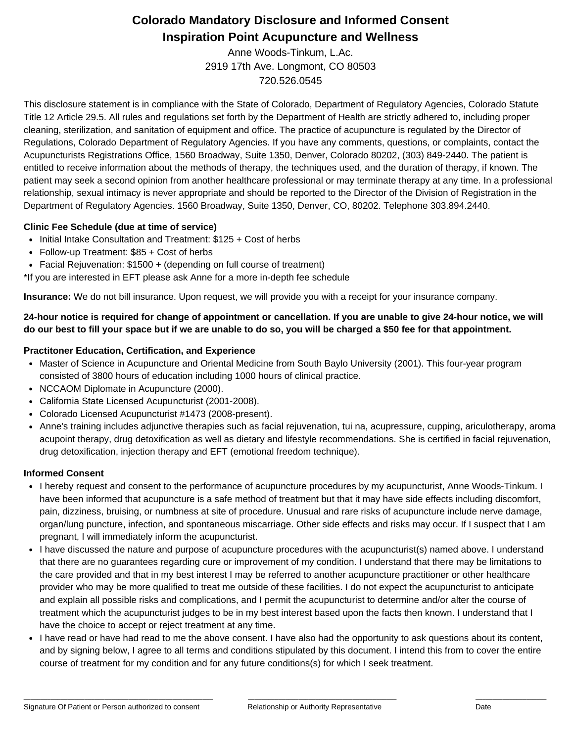# **Colorado Mandatory Disclosure and Informed Consent Inspiration Point Acupuncture and Wellness**

Anne Woods-Tinkum, L.Ac. 2919 17th Ave. Longmont, CO 80503 720.526.0545

This disclosure statement is in compliance with the State of Colorado, Department of Regulatory Agencies, Colorado Statute Title 12 Article 29.5. All rules and regulations set forth by the Department of Health are strictly adhered to, including proper cleaning, sterilization, and sanitation of equipment and office. The practice of acupuncture is regulated by the Director of Regulations, Colorado Department of Regulatory Agencies. If you have any comments, questions, or complaints, contact the Acupuncturists Registrations Office, 1560 Broadway, Suite 1350, Denver, Colorado 80202, (303) 849-2440. The patient is entitled to receive information about the methods of therapy, the techniques used, and the duration of therapy, if known. The patient may seek a second opinion from another healthcare professional or may terminate therapy at any time. In a professional relationship, sexual intimacy is never appropriate and should be reported to the Director of the Division of Registration in the Department of Regulatory Agencies. 1560 Broadway, Suite 1350, Denver, CO, 80202. Telephone 303.894.2440.

## **Clinic Fee Schedule (due at time of service)**

- Initial Intake Consultation and Treatment: \$125 + Cost of herbs
- Follow-up Treatment: \$85 + Cost of herbs
- Facial Rejuvenation: \$1500 + (depending on full course of treatment)

\*If you are interested in EFT please ask Anne for a more in-depth fee schedule

**Insurance:** We do not bill insurance. Upon request, we will provide you with a receipt for your insurance company.

24-hour notice is required for change of appointment or cancellation. If you are unable to give 24-hour notice, we will do our best to fill your space but if we are unable to do so, you will be charged a \$50 fee for that appointment.

## **Practitoner Education, Certification, and Experience**

- Master of Science in Acupuncture and Oriental Medicine from South Baylo University (2001). This four-year program consisted of 3800 hours of education including 1000 hours of clinical practice.
- NCCAOM Diplomate in Acupuncture (2000).
- California State Licensed Acupuncturist (2001-2008).
- Colorado Licensed Acupuncturist #1473 (2008-present).
- Anne's training includes adjunctive therapies such as facial rejuvenation, tui na, acupressure, cupping, ariculotherapy, aroma acupoint therapy, drug detoxification as well as dietary and lifestyle recommendations. She is certified in facial rejuvenation, drug detoxification, injection therapy and EFT (emotional freedom technique).

## **Informed Consent**

- I hereby request and consent to the performance of acupuncture procedures by my acupuncturist, Anne Woods-Tinkum. I have been informed that acupuncture is a safe method of treatment but that it may have side effects including discomfort, pain, dizziness, bruising, or numbness at site of procedure. Unusual and rare risks of acupuncture include nerve damage, organ/lung puncture, infection, and spontaneous miscarriage. Other side effects and risks may occur. If I suspect that I am pregnant, I will immediately inform the acupuncturist.
- I have discussed the nature and purpose of acupuncture procedures with the acupuncturist(s) named above. I understand that there are no guarantees regarding cure or improvement of my condition. I understand that there may be limitations to the care provided and that in my best interest I may be referred to another acupuncture practitioner or other healthcare provider who may be more qualified to treat me outside of these facilities. I do not expect the acupuncturist to anticipate and explain all possible risks and complications, and I permit the acupuncturist to determine and/or alter the course of treatment which the acupuncturist judges to be in my best interest based upon the facts then known. I understand that I have the choice to accept or reject treatment at any time.
- I have read or have had read to me the above consent. I have also had the opportunity to ask questions about its content, and by signing below, I agree to all terms and conditions stipulated by this document. I intend this from to cover the entire course of treatment for my condition and for any future conditions(s) for which I seek treatment.

\_\_\_\_\_\_\_\_\_\_\_\_\_\_\_\_\_\_\_\_\_\_\_\_\_\_\_\_\_\_\_\_\_\_\_\_\_\_\_\_\_\_\_\_\_\_\_\_\_\_\_\_\_\_\_\_ \_\_\_\_\_\_\_\_\_\_\_\_\_\_\_\_\_\_\_\_\_\_\_\_\_\_\_\_\_\_\_\_\_\_\_\_\_\_\_\_\_\_\_\_ \_\_\_\_\_\_\_\_\_\_\_\_\_\_\_\_\_\_\_\_\_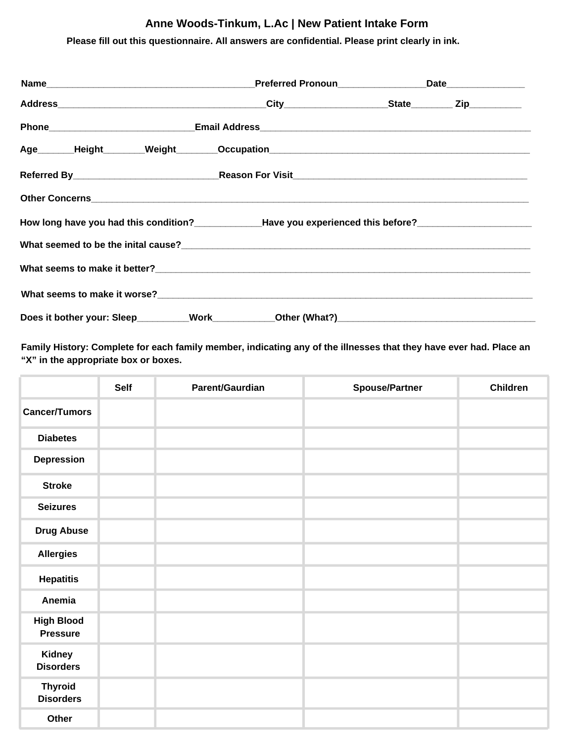## **Anne Woods-Tinkum, L.Ac | New Patient Intake Form**

# **Please fill out this questionnaire. All answers are confidential. Please print clearly in ink.**

|                                                                                                                |  |  | Age Height Weight Occupation Measurement Contains Meanwhile Meanwhile Meanwhile Meanwhile Meanwhile Meanwhile |  |  |
|----------------------------------------------------------------------------------------------------------------|--|--|---------------------------------------------------------------------------------------------------------------|--|--|
|                                                                                                                |  |  |                                                                                                               |  |  |
|                                                                                                                |  |  |                                                                                                               |  |  |
| How long have you had this condition?______________Have you experienced this before?__________________________ |  |  |                                                                                                               |  |  |
|                                                                                                                |  |  |                                                                                                               |  |  |
|                                                                                                                |  |  |                                                                                                               |  |  |
|                                                                                                                |  |  |                                                                                                               |  |  |
|                                                                                                                |  |  |                                                                                                               |  |  |

Family History: Complete for each family member, indicating any of the illnesses that they have ever had. Place an **"X" in the appropriate box or boxes.**

|                                      | Self | Parent/Gaurdian | <b>Spouse/Partner</b> | Children |
|--------------------------------------|------|-----------------|-----------------------|----------|
| <b>Cancer/Tumors</b>                 |      |                 |                       |          |
| <b>Diabetes</b>                      |      |                 |                       |          |
| <b>Depression</b>                    |      |                 |                       |          |
| <b>Stroke</b>                        |      |                 |                       |          |
| <b>Seizures</b>                      |      |                 |                       |          |
| <b>Drug Abuse</b>                    |      |                 |                       |          |
| <b>Allergies</b>                     |      |                 |                       |          |
| <b>Hepatitis</b>                     |      |                 |                       |          |
| Anemia                               |      |                 |                       |          |
| <b>High Blood</b><br><b>Pressure</b> |      |                 |                       |          |
| Kidney<br><b>Disorders</b>           |      |                 |                       |          |
| <b>Thyroid</b><br><b>Disorders</b>   |      |                 |                       |          |
| Other                                |      |                 |                       |          |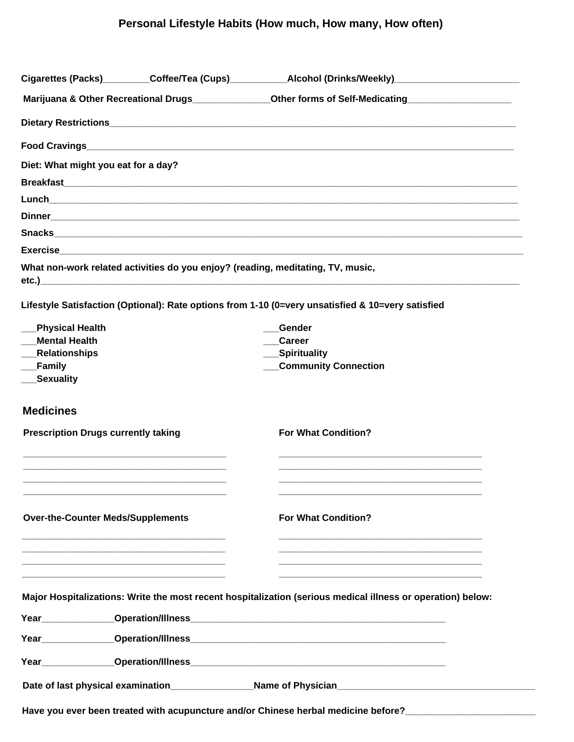# **Personal Lifestyle Habits (How much, How many, How often)**

|                                            |  | Cigarettes (Packs)_________Coffee/Tea (Cups)___________Alcohol (Drinks/Weekly)______________________                                                                                                                                                                                                             |
|--------------------------------------------|--|------------------------------------------------------------------------------------------------------------------------------------------------------------------------------------------------------------------------------------------------------------------------------------------------------------------|
|                                            |  | Marijuana & Other Recreational Drugs___________________Other forms of Self-Medicating_________________________                                                                                                                                                                                                   |
|                                            |  |                                                                                                                                                                                                                                                                                                                  |
|                                            |  |                                                                                                                                                                                                                                                                                                                  |
| Diet: What might you eat for a day?        |  |                                                                                                                                                                                                                                                                                                                  |
|                                            |  |                                                                                                                                                                                                                                                                                                                  |
|                                            |  |                                                                                                                                                                                                                                                                                                                  |
|                                            |  |                                                                                                                                                                                                                                                                                                                  |
|                                            |  | Snacks                                                                                                                                                                                                                                                                                                           |
|                                            |  |                                                                                                                                                                                                                                                                                                                  |
|                                            |  | What non-work related activities do you enjoy? (reading, meditating, TV, music,<br>etc.) and the contract of the contract of the contract of the contract of the contract of the contract of the contract of the contract of the contract of the contract of the contract of the contract of the contract of the |
|                                            |  | Lifestyle Satisfaction (Optional): Rate options from 1-10 (0=very unsatisfied & 10=very satisfied                                                                                                                                                                                                                |
| <b>Physical Health</b>                     |  | Gender                                                                                                                                                                                                                                                                                                           |
| <b>Mental Health</b>                       |  | <b>Career</b>                                                                                                                                                                                                                                                                                                    |
| <b>Relationships</b>                       |  | __Spirituality                                                                                                                                                                                                                                                                                                   |
| <b>Family</b>                              |  | <b>Community Connection</b>                                                                                                                                                                                                                                                                                      |
| <b>Sexuality</b>                           |  |                                                                                                                                                                                                                                                                                                                  |
| <b>Medicines</b>                           |  |                                                                                                                                                                                                                                                                                                                  |
| <b>Prescription Drugs currently taking</b> |  | <b>For What Condition?</b>                                                                                                                                                                                                                                                                                       |
|                                            |  |                                                                                                                                                                                                                                                                                                                  |
| <b>Over-the-Counter Meds/Supplements</b>   |  | <b>For What Condition?</b>                                                                                                                                                                                                                                                                                       |
|                                            |  |                                                                                                                                                                                                                                                                                                                  |
|                                            |  | Major Hospitalizations: Write the most recent hospitalization (serious medical illness or operation) below:                                                                                                                                                                                                      |
|                                            |  |                                                                                                                                                                                                                                                                                                                  |
|                                            |  | Year Cherican Contact Contract Contract Contract Contract Contract Contract Contract Contract Contract Contract Contract Contract Contract Contract Contract Contract Contract Contract Contract Contract Contract Contract Co                                                                                   |
|                                            |  | Year Cherical Contraction/Illness Contraction Contract Contract Contract Contract Contract Contract Contract Contract Contract Contract Contract Contract Contract Contract Contract Contract Contract Contract Contract Contr                                                                                   |
|                                            |  |                                                                                                                                                                                                                                                                                                                  |
|                                            |  | Have you ever been treated with acupuncture and/or Chinese herbal medicine before?                                                                                                                                                                                                                               |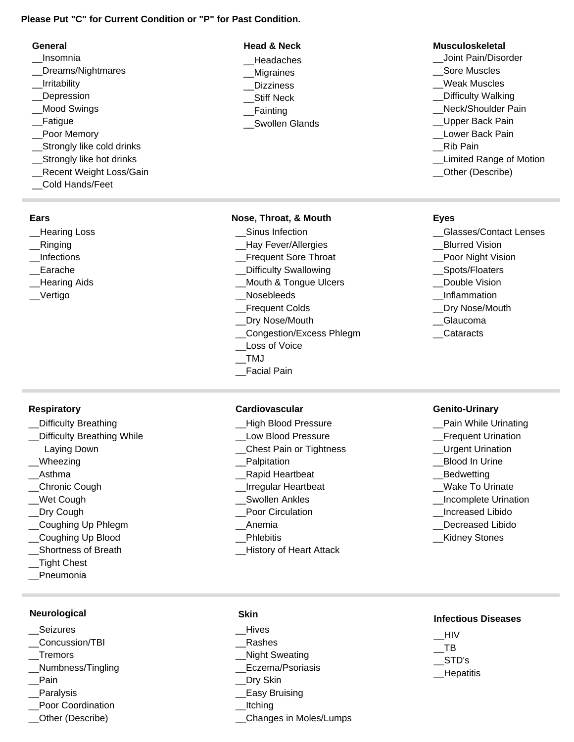### **Please Put "C" for Current Condition or "P" for Past Condition.**

| General                   | <b>Head &amp; Neck</b> | <b>Musculoskeletal</b>    |
|---------------------------|------------------------|---------------------------|
| Insomnia                  | Headaches              | Joint Pain/Disorder       |
| Dreams/Nightmares         | Migraines              | <b>Sore Muscles</b>       |
| Irritability              | <b>Dizziness</b>       | Weak Muscles              |
| Depression                | <b>Stiff Neck</b>      | <b>Difficulty Walking</b> |
| <b>Mood Swings</b>        | <b>Fainting</b>        | Neck/Shoulder Pain        |
| Fatigue                   | Swollen Glands         | Upper Back Pain           |
| Poor Memory               |                        | Lower Back Pain           |
| Strongly like cold drinks |                        | Rib Pain                  |
| Strongly like hot drinks  |                        | Limited Range of Mo       |
| Recent Weight Loss/Gain   |                        | Other (Describe)          |
| Cold Hands/Feet           |                        |                           |

### **Ears**

- \_\_Hearing Loss
- \_\_Ringing
- \_\_Infections
- \_\_Earache
- \_\_Hearing Aids
- \_\_Vertigo

#### **Nose, Throat, & Mouth Eyes**

- Sinus Infection
- \_\_Hay Fever/Allergies
- \_\_Frequent Sore Throat
- Difficulty Swallowing
- \_\_Mouth & Tongue Ulcers
- \_\_Nosebleeds
- \_\_Frequent Colds
- \_\_Dry Nose/Mouth
- \_\_Congestion/Excess Phlegm
- \_\_Loss of Voice
- \_\_TMJ
- \_\_Facial Pain

#### **Respiratory**

- \_\_Difficulty Breathing
- Difficulty Breathing While
- Laying Down
- Wheezing
- \_\_Asthma
- \_\_Chronic Cough
- Wet Cough
- Dry Cough
- \_\_Coughing Up Phlegm
- \_\_Coughing Up Blood
- \_\_Shortness of Breath
- \_\_Tight Chest
- \_\_Pneumonia

## **Neurological**

- **Seizures**
- \_\_Concussion/TBI
- \_\_Tremors
- \_\_Numbness/Tingling
- Pain
- \_\_Paralysis
- \_\_Poor Coordination
- \_\_Other (Describe)

#### **Cardiovascular Genito-Urinary**

- \_\_High Blood Pressure
- \_\_Low Blood Pressure
- \_\_Chest Pain or Tightness
- Palpitation
- \_\_Rapid Heartbeat
- \_\_Irregular Heartbeat
- \_\_Swollen Ankles
- Poor Circulation
- \_\_Anemia
- **Phlebitis**
- \_\_History of Heart Attack
- 
- 
- \_\_Limited Range of Motion

- \_\_Glasses/Contact Lenses
- \_\_Blurred Vision
- Poor Night Vision
- \_\_Spots/Floaters
- Double Vision
- \_\_Inflammation
- \_\_Dry Nose/Mouth
- \_\_Glaucoma
- \_\_Cataracts

- Pain While Urinating
- \_\_Frequent Urination
- \_\_Urgent Urination
- \_\_Blood In Urine
- \_\_Bedwetting
- Wake To Urinate
- \_\_Incomplete Urination
- \_\_Increased Libido
- Decreased Libido
- \_\_Kidney Stones

## **Infectious Diseases**

\_\_HIV  $\overline{\phantom{0}}$ TB \_\_STD's \_\_Hepatitis

- **Skin** \_\_Hives
- \_\_Rashes
- \_\_Night Sweating
- \_\_Eczema/Psoriasis
- \_\_Dry Skin
- \_\_Easy Bruising
- \_\_Itching
- \_\_Changes in Moles/Lumps